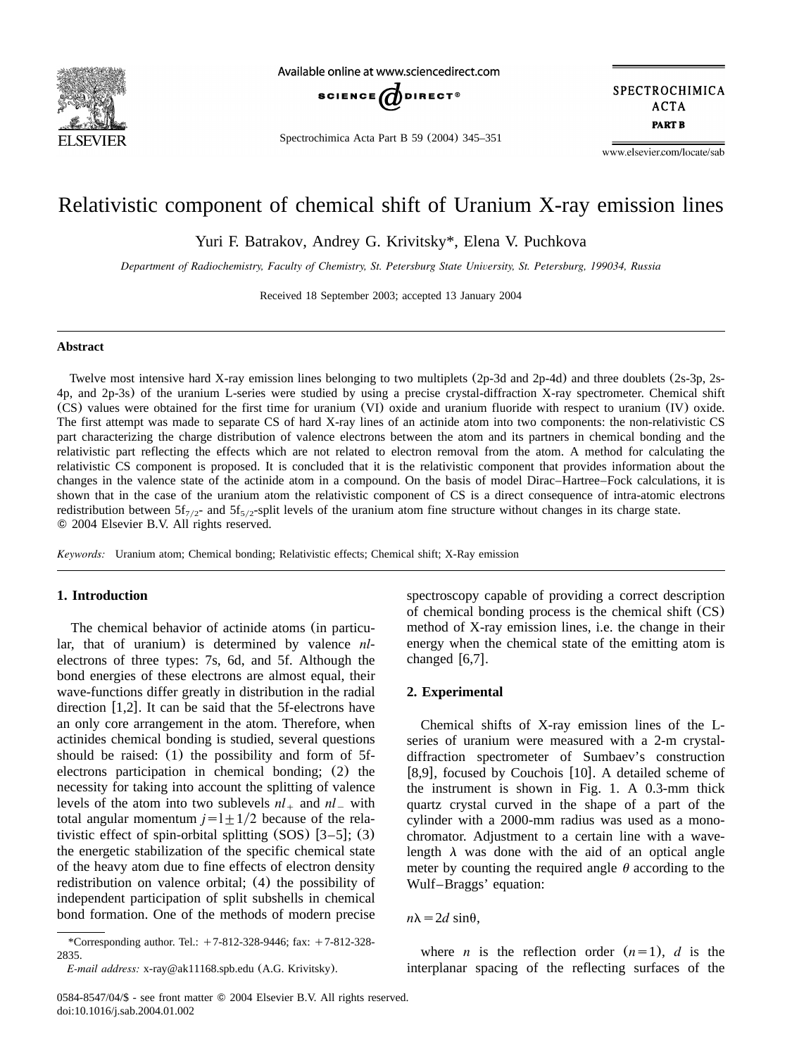

Available online at www.sciencedirect.com



Spectrochimica Acta Part B 59 (2004) 345–351

SPECTROCHIMICA **ACTA PART B** 

www.elsevier.com/locate/sab

# Relativistic component of chemical shift of Uranium X-ray emission lines

Yuri F. Batrakov, Andrey G. Krivitsky\*, Elena V. Puchkova

*Department of Radiochemistry, Faculty of Chemistry, St. Petersburg State University, St. Petersburg, 199034, Russia*

Received 18 September 2003; accepted 13 January 2004

# **Abstract**

Twelve most intensive hard X-ray emission lines belonging to two multiplets (2p-3d and 2p-4d) and three doublets (2s-3p, 2s-4p, and 2p-3s) of the uranium L-series were studied by using a precise crystal-diffraction X-ray spectrometer. Chemical shift (CS) values were obtained for the first time for uranium (VI) oxide and uranium fluoride with respect to uranium (IV) oxide. The first attempt was made to separate CS of hard X-ray lines of an actinide atom into two components: the non-relativistic CS part characterizing the charge distribution of valence electrons between the atom and its partners in chemical bonding and the relativistic part reflecting the effects which are not related to electron removal from the atom. A method for calculating the relativistic CS component is proposed. It is concluded that it is the relativistic component that provides information about the changes in the valence state of the actinide atom in a compound. On the basis of model Dirac–Hartree–Fock calculations, it is shown that in the case of the uranium atom the relativistic component of CS is a direct consequence of intra-atomic electrons redistribution between  $5f_{7/2}$  and  $5f_{5/2}$ -split levels of the uranium atom fine structure without changes in its charge state. 2004 Elsevier B.V. All rights reserved.

*Keywords:* Uranium atom; Chemical bonding; Relativistic effects; Chemical shift; X-Ray emission

# **1. Introduction**

The chemical behavior of actinide atoms (in particular, that of uranium) is determined by valence *nl*electrons of three types: 7s, 6d, and 5f. Although the bond energies of these electrons are almost equal, their wave-functions differ greatly in distribution in the radial direction  $[1,2]$  $[1,2]$  $[1,2]$ . It can be said that the 5f-electrons have an only core arrangement in the atom. Therefore, when actinides chemical bonding is studied, several questions should be raised: (1) the possibility and form of 5felectrons participation in chemical bonding; (2) the necessity for taking into account the splitting of valence levels of the atom into two sublevels  $nl_+$  and  $nl_-$  with total angular momentum  $j = 1 + 1/2$  because of the relativistic effect of spin-orbital splitting  $(SOS)$   $[3-5]$ ; (3) the energetic stabilization of the specific chemical state of the heavy atom due to fine effects of electron density redistribution on valence orbital; (4) the possibility of independent participation of split subshells in chemical bond formation. One of the methods of modern precise spectroscopy capable of providing a correct description of chemical bonding process is the chemical shift  $(CS)$ method of X-ray emission lines, i.e. the change in their energy when the chemical state of the emitting atom is changed  $[6,7]$  $[6,7]$  $[6,7]$ .

## **2. Experimental**

Chemical shifts of X-ray emission lines of the Lseries of uranium were measured with a 2-m crystaldiffraction spectrometer of Sumbaev's construction [[8,9](#page-6-0)], focused by Couchois  $[10]$  $[10]$  $[10]$ . A detailed scheme of the instrument is shown in [Fig. 1.](#page-1-0) A 0.3-mm thick quartz crystal curved in the shape of a part of the cylinder with a 2000-mm radius was used as a monochromator. Adjustment to a certain line with a wavelength  $\lambda$  was done with the aid of an optical angle meter by counting the required angle  $\theta$  according to the Wulf–Braggs' equation:

 $n\lambda = 2d \sin\theta$ .

where *n* is the reflection order  $(n=1)$ , *d* is the interplanar spacing of the reflecting surfaces of the

<sup>\*</sup>Corresponding author. Tel.:  $+7-812-328-9446$ ; fax:  $+7-812-328-$ 2835.

*E-mail address:* x-ray@ak11168.spb.edu (A.G. Krivitsky).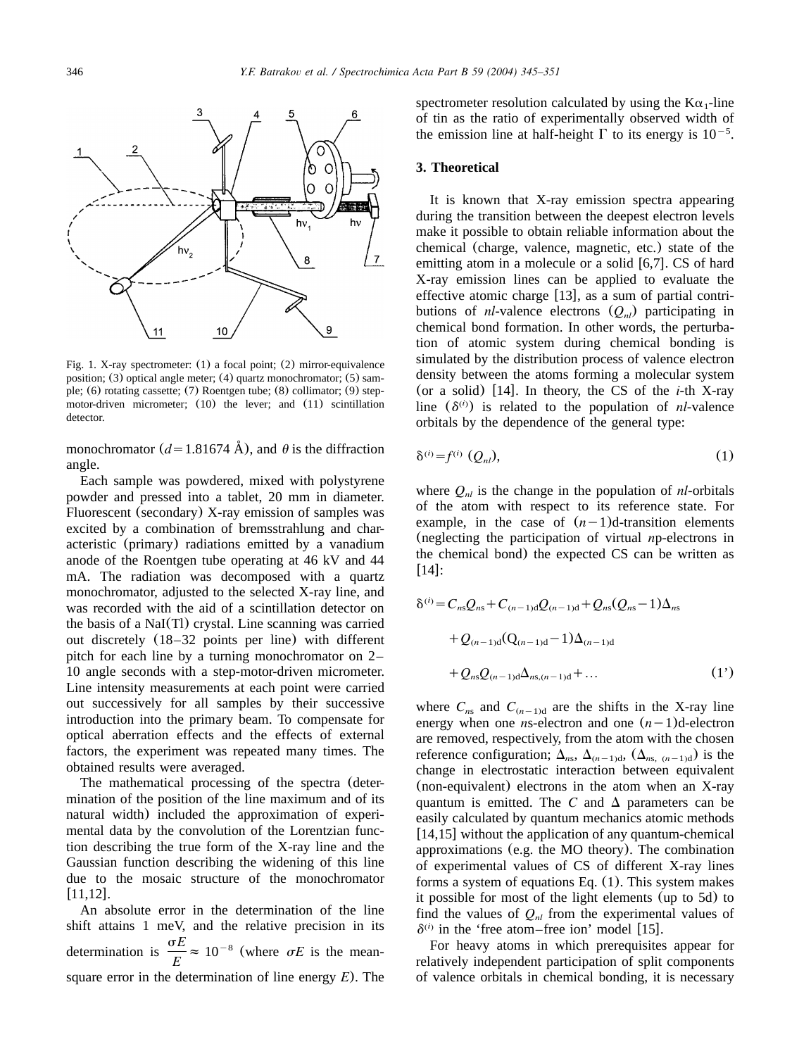<span id="page-1-0"></span>

Fig. 1. X-ray spectrometer:  $(1)$  a focal point;  $(2)$  mirror-equivalence position;  $(3)$  optical angle meter;  $(4)$  quartz monochromator;  $(5)$  sample; (6) rotating cassette; (7) Roentgen tube; (8) collimator; (9) stepmotor-driven micrometer; (10) the lever; and (11) scintillation detector.

monochromator ( $d=1.81674$  Å), and  $\theta$  is the diffraction angle.

Each sample was powdered, mixed with polystyrene powder and pressed into a tablet, 20 mm in diameter. Fluorescent (secondary) X-ray emission of samples was excited by a combination of bremsstrahlung and characteristic (primary) radiations emitted by a vanadium anode of the Roentgen tube operating at 46 kV and 44 mA. The radiation was decomposed with a quartz monochromator, adjusted to the selected X-ray line, and was recorded with the aid of a scintillation detector on the basis of a NaI(Tl) crystal. Line scanning was carried out discretely (18–32 points per line) with different pitch for each line by a turning monochromator on 2– 10 angle seconds with a step-motor-driven micrometer. Line intensity measurements at each point were carried out successively for all samples by their successive introduction into the primary beam. To compensate for optical aberration effects and the effects of external factors, the experiment was repeated many times. The obtained results were averaged.

The mathematical processing of the spectra (determination of the position of the line maximum and of its natural width) included the approximation of experimental data by the convolution of the Lorentzian function describing the true form of the X-ray line and the Gaussian function describing the widening of this line due to the mosaic structure of the monochromator  $[11.12]$ .

An absolute error in the determination of the line shift attains 1 meV, and the relative precision in its determination is  $\frac{\sigma E}{E} \approx 10^{-8}$  (where  $\sigma E$  is the meansquare error in the determination of line energy *E*). The

spectrometer resolution calculated by using the  $K\alpha_1$ -line of tin as the ratio of experimentally observed width of the emission line at half-height  $\Gamma$  to its energy is 10<sup>-5</sup>.

### **3. Theoretical**

It is known that X-ray emission spectra appearing during the transition between the deepest electron levels make it possible to obtain reliable information about the chemical (charge, valence, magnetic, etc.) state of the emitting atom in a molecule or a solid  $[6,7]$  $[6,7]$  $[6,7]$ . CS of hard X-ray emission lines can be applied to evaluate the effective atomic charge  $[13]$  $[13]$  $[13]$ , as a sum of partial contributions of *nl*-valence electrons  $(Q_{nl})$  participating in chemical bond formation. In other words, the perturbation of atomic system during chemical bonding is simulated by the distribution process of valence electron density between the atoms forming a molecular system (or a solid)  $[14]$  $[14]$  $[14]$ . In theory, the CS of the *i*-th X-ray line  $(\delta^{(i)})$  is related to the population of *nl*-valence orbitals by the dependence of the general type:

$$
\delta^{(i)} = f^{(i)}(Q_{nl}),\tag{1}
$$

where  $Q_{nl}$  is the change in the population of  $nl$ -orbitals of the atom with respect to its reference state. For example, in the case of  $(n-1)d$ -transition elements (neglecting the participation of virtual *n*p-electrons in the chemical bond) the expected CS can be written as  $[14]$  $[14]$  $[14]$ :

$$
\delta^{(i)} = C_{ns}Q_{ns} + C_{(n-1)d}Q_{(n-1)d} + Q_{ns}(Q_{ns} - 1)\Delta_{ns}
$$
  
+  $Q_{(n-1)d}(Q_{(n-1)d} - 1)\Delta_{(n-1)d}$   
+  $Q_{ns}Q_{(n-1)d}\Delta_{ns,(n-1)d} + ...$  (1')

where  $C_{ns}$  and  $C_{(n-1)d}$  are the shifts in the X-ray line energy when one *n*s-electron and one  $(n-1)d$ -electron are removed, respectively, from the atom with the chosen reference configuration;  $\Delta_{ns}$ ,  $\Delta_{(n-1)d}$ ,  $(\Delta_{ns, (n-1)d})$  is the change in electrostatic interaction between equivalent (non-equivalent) electrons in the atom when an X-ray quantum is emitted. The  $C$  and  $\Delta$  parameters can be easily calculated by quantum mechanics atomic methods  $[14,15]$  $[14,15]$  $[14,15]$  without the application of any quantum-chemical approximations (e.g. the MO theory). The combination of experimental values of CS of different X-ray lines forms a system of equations Eq. (1). This system makes it possible for most of the light elements (up to 5d) to find the values of  $Q_{nl}$  from the experimental values of  $\delta^{(i)}$  in the 'free atom–free ion' model [[15](#page-6-0)].

For heavy atoms in which prerequisites appear for relatively independent participation of split components of valence orbitals in chemical bonding, it is necessary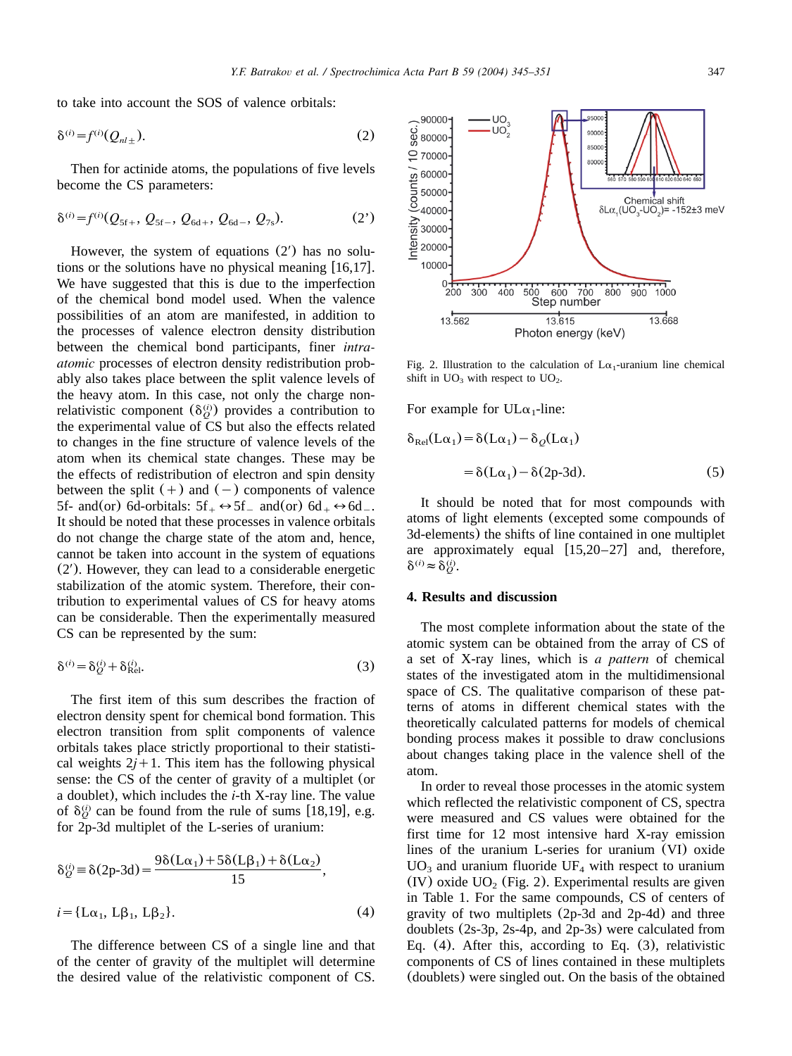to take into account the SOS of valence orbitals:

$$
\delta^{(i)} = f^{(i)}(Q_{nl\pm}).\tag{2}
$$

Then for actinide atoms, the populations of five levels become the CS parameters:

$$
\delta^{(i)} = f^{(i)}(Q_{5f+}, Q_{5f-}, Q_{6d+}, Q_{6d-}, Q_{7s}).
$$
 (2')

However, the system of equations  $(2')$  has no solutions or the solutions have no physical meaning  $[16,17]$  $[16,17]$  $[16,17]$ . We have suggested that this is due to the imperfection of the chemical bond model used. When the valence possibilities of an atom are manifested, in addition to the processes of valence electron density distribution between the chemical bond participants, finer *intraatomic* processes of electron density redistribution probably also takes place between the split valence levels of the heavy atom. In this case, not only the charge nonrelativistic component  $(\delta_{\alpha}^{(i)})$  provides a contribution to the experimental value of CS but also the effects related to changes in the fine structure of valence levels of the atom when its chemical state changes. These may be the effects of redistribution of electron and spin density between the split  $(+)$  and  $(-)$  components of valence 5f- and(or) 6d-orbitals:  $5f_{+} \leftrightarrow 5f_{-}$  and(or)  $6d_{+} \leftrightarrow 6d_{-}$ . It should be noted that these processes in valence orbitals do not change the charge state of the atom and, hence, cannot be taken into account in the system of equations  $(2')$ . However, they can lead to a considerable energetic stabilization of the atomic system. Therefore, their contribution to experimental values of CS for heavy atoms can be considerable. Then the experimentally measured CS can be represented by the sum:

$$
\delta^{(i)} = \delta_Q^{(i)} + \delta_{\text{Rel}}^{(i)}.\tag{3}
$$

The first item of this sum describes the fraction of electron density spent for chemical bond formation. This electron transition from split components of valence orbitals takes place strictly proportional to their statistical weights  $2j+1$ . This item has the following physical sense: the CS of the center of gravity of a multiplet (or a doublet), which includes the *i*-th X-ray line. The value of  $\delta_Q^{(i)}$  can be found from the rule of sums [[18,19](#page-6-0)], e.g. for 2p-3d multiplet of the L-series of uranium:

$$
\delta_Q^{(i)} = \delta(2p-3d) = \frac{9\delta(L\alpha_1) + 5\delta(L\beta_1) + \delta(L\alpha_2)}{15},
$$
  

$$
i = \{L\alpha_1, L\beta_1, L\beta_2\}.
$$
 (4)

The difference between CS of a single line and that of the center of gravity of the multiplet will determine the desired value of the relativistic component of CS.



Fig. 2. Illustration to the calculation of  $L\alpha_1$ -uranium line chemical shift in  $UO_3$  with respect to  $UO_2$ .

For example for  $UL\alpha_1$ -line:

$$
\delta_{\text{Rel}}(L\alpha_1) = \delta(L\alpha_1) - \delta_Q(L\alpha_1)
$$
  
=  $\delta(L\alpha_1) - \delta(2p-3d)$ . (5)

It should be noted that for most compounds with atoms of light elements (excepted some compounds of 3d-elements) the shifts of line contained in one multiplet are approximately equal  $[15,20-27]$  and, therefore,  $\delta^{(i)} \approx \delta^{(i)}_Q$ .

#### **4. Results and discussion**

The most complete information about the state of the atomic system can be obtained from the array of CS of a set of X-ray lines, which is *a pattern* of chemical states of the investigated atom in the multidimensional space of CS. The qualitative comparison of these patterns of atoms in different chemical states with the theoretically calculated patterns for models of chemical bonding process makes it possible to draw conclusions about changes taking place in the valence shell of the atom.

In order to reveal those processes in the atomic system which reflected the relativistic component of CS, spectra were measured and CS values were obtained for the first time for 12 most intensive hard X-ray emission lines of the uranium L-series for uranium (VI) oxide  $UO_3$  and uranium fluoride UF<sub>4</sub> with respect to uranium (IV) oxide  $UO<sub>2</sub>$  (Fig. 2). Experimental results are given in [Table 1.](#page-3-0) For the same compounds, CS of centers of gravity of two multiplets (2p-3d and 2p-4d) and three doublets (2s-3p, 2s-4p, and 2p-3s) were calculated from Eq. (4). After this, according to Eq. (3), relativistic components of CS of lines contained in these multiplets (doublets) were singled out. On the basis of the obtained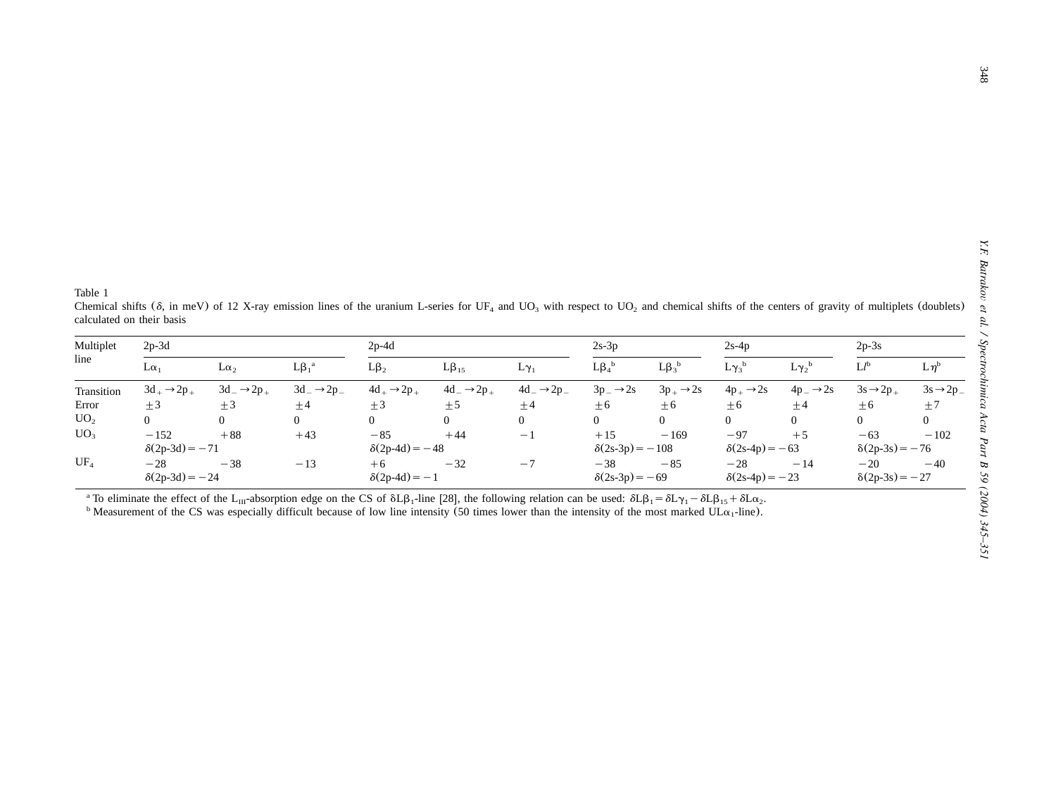<span id="page-3-0"></span>

| Table 1           | calculated on their basis |                             |                             |                         |                             | Chemical shifts ( $\delta$ , in meV) of 12 X-ray emission lines of the uranium L-series for UF <sub>4</sub> and UO <sub>3</sub> with respect to UO <sub>2</sub> and chemical shifts of the centers of gravity of multiplets (doublets) |                        |                       |                       |                         |                       |                         |
|-------------------|---------------------------|-----------------------------|-----------------------------|-------------------------|-----------------------------|----------------------------------------------------------------------------------------------------------------------------------------------------------------------------------------------------------------------------------------|------------------------|-----------------------|-----------------------|-------------------------|-----------------------|-------------------------|
| Multiplet<br>line | $2p-3d$                   |                             |                             | $2p-4d$                 |                             |                                                                                                                                                                                                                                        | $2s-3p$                |                       | $2s-4p$               |                         | $2p-3s$               |                         |
|                   | $L\alpha_1$               | $L\alpha_2$                 | $L\beta_1^{\ a}$            | $L\beta_2$              | $L\beta_{15}$               | $L\gamma_1$                                                                                                                                                                                                                            | $L\beta_4^{\ b}$       | $L\beta_3^{\ b}$      | $L\gamma_3^{\ b}$     | $L\gamma_2^{\ b}$       | $L^{b}$               | $L\eta^b$               |
| Transition        | $3d_+ \rightarrow 2p_+$   | $3d_{-} \rightarrow 2p_{+}$ | $3d_{-} \rightarrow 2p_{-}$ | $4d_+ \rightarrow 2p_+$ | $4d_{-} \rightarrow 2p_{+}$ | $4d_{-} \rightarrow 2p_{-}$                                                                                                                                                                                                            | $3p - \rightarrow 2s$  | $3p_+ \rightarrow 2s$ | $4p_+ \rightarrow 2s$ | $4p_{-} \rightarrow 2s$ | $3s \rightarrow 2p_+$ | $3s \rightarrow 2p_{-}$ |
| Error             | $\pm 3$                   | $\pm$ 3                     | ±4                          | $\pm 3$                 | ±5                          | ±4                                                                                                                                                                                                                                     | $\pm 6$                | $\pm 6$               | $\pm 6$               | ±4                      | $\pm 6$               | ±7                      |
| UO <sub>2</sub>   | $\Omega$                  | $\overline{0}$              | $\overline{0}$              | $\Omega$                | $\mathbf{0}$                | $\Omega$                                                                                                                                                                                                                               | $\Omega$               | $\overline{0}$        | $\Omega$              | $\Omega$                | $\overline{0}$        | $\overline{0}$          |
| UO <sub>3</sub>   | $-152$                    | $+88$                       | $+43$                       | $-85$                   | $+44$                       | $-1$                                                                                                                                                                                                                                   | $+15$                  | $-169$                | $-97$                 | $+5$                    | $-63$                 | $-102$                  |
|                   | $\delta(2p-3d) = -71$     |                             |                             | $\delta(2p-4d) = -48$   |                             |                                                                                                                                                                                                                                        | $\delta(2s-3p) = -108$ |                       | $\delta(2s-4p) = -63$ |                         | $\delta(2p-3s) = -76$ |                         |
| $UF_4$            | $-28$                     | $-38$                       | $-13$                       | $+6$                    | $-32$                       | $-7$                                                                                                                                                                                                                                   | $-38$                  | $-85$                 | $-28$                 | $-14$                   | $-20$                 | $-40$                   |
|                   | $\delta(2p-3d) = -24$     |                             |                             | $\delta(2p-4d) = -1$    |                             |                                                                                                                                                                                                                                        | $\delta(2s-3p) = -69$  |                       | $\delta(2s-4p) = -23$ |                         | $\delta(2p-3s) = -27$ |                         |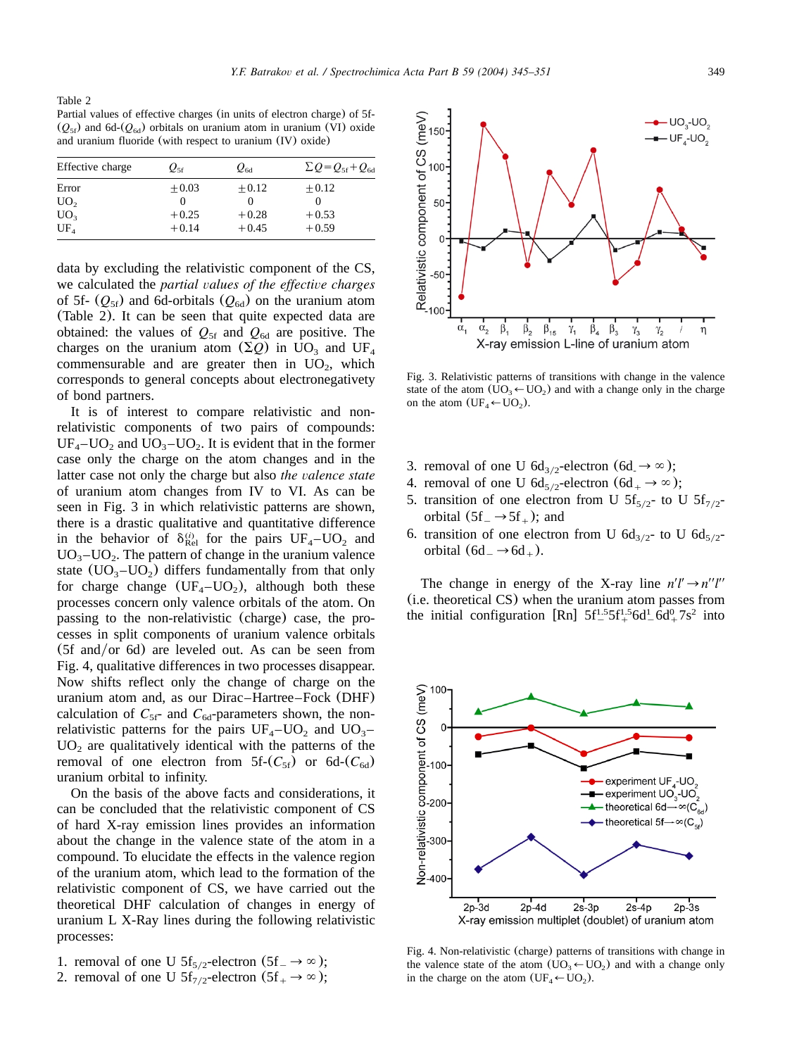Table 2 Partial values of effective charges (in units of electron charge) of 5f- $(Q_{5f})$  and 6d- $(Q_{6d})$  orbitals on uranium atom in uranium (VI) oxide and uranium fluoride (with respect to uranium (IV) oxide)

| Effective charge | $Q_{5f}$ | $\varrho_{\scriptscriptstyle\rm dd}$ | $\Sigma Q = Q_{\rm sf} + Q_{\rm 6d}$ |
|------------------|----------|--------------------------------------|--------------------------------------|
| Error            | $+0.03$  | $+0.12$                              | $+0.12$                              |
| UO <sub>2</sub>  |          |                                      |                                      |
| UO <sub>3</sub>  | $+0.25$  | $+0.28$                              | $+0.53$                              |
| UF <sub>4</sub>  | $+0.14$  | $+0.45$                              | $+0.59$                              |
|                  |          |                                      |                                      |

data by excluding the relativistic component of the CS, we calculated the *partial values of the effective charges* of 5f-  $(Q_{5f})$  and 6d-orbitals  $(Q_{6d})$  on the uranium atom (Table 2). It can be seen that quite expected data are obtained: the values of  $Q_{5f}$  and  $Q_{6d}$  are positive. The charges on the uranium atom  $(\Sigma Q)$  in UO<sub>3</sub> and UF<sub>4</sub> commensurable and are greater then in  $UO<sub>2</sub>$ , which corresponds to general concepts about electronegativety of bond partners.

It is of interest to compare relativistic and nonrelativistic components of two pairs of compounds:  $UF_4$ – $UO_2$  and  $UO_3$ – $UO_2$ . It is evident that in the former case only the charge on the atom changes and in the latter case not only the charge but also *the valence state* of uranium atom changes from IV to VI. As can be seen in Fig. 3 in which relativistic patterns are shown, there is a drastic qualitative and quantitative difference in the behavior of  $\delta_{\text{Rel}}^{(i)}$  for the pairs  $UF_4-UO_2$  and  $UO<sub>3</sub>$ – $UO<sub>2</sub>$ . The pattern of change in the uranium valence state  $(UO_3-UO_2)$  differs fundamentally from that only for charge change  $(UF_A-UO_2)$ , although both these processes concern only valence orbitals of the atom. On passing to the non-relativistic (charge) case, the processes in split components of uranium valence orbitals  $(5f \text{ and/or } 6d)$  are leveled out. As can be seen from Fig. 4, qualitative differences in two processes disappear. Now shifts reflect only the change of charge on the uranium atom and, as our Dirac–Hartree–Fock (DHF) calculation of  $C_{5f}$ - and  $C_{6d}$ -parameters shown, the nonrelativistic patterns for the pairs  $UF_4$ – $UO_2$  and  $UO_3$ –  $UO<sub>2</sub>$  are qualitatively identical with the patterns of the removal of one electron from  $5f-(C_{5f})$  or  $6d-(C_{6d})$ uranium orbital to infinity.

On the basis of the above facts and considerations, it can be concluded that the relativistic component of CS of hard X-ray emission lines provides an information about the change in the valence state of the atom in a compound. To elucidate the effects in the valence region of the uranium atom, which lead to the formation of the relativistic component of CS, we have carried out the theoretical DHF calculation of changes in energy of uranium L X-Ray lines during the following relativistic processes:

- 1. removal of one U  $5f_{5/2}$ -electron  $(5f_{-} \rightarrow \infty);$
- 2. removal of one U  $5f_{7/2}$ -electron  $(5f_{+} \rightarrow \infty);$

 $\frac{1}{3}$  Relativistic component of CS (meV)<br> $\frac{1}{3}$  events are events of  $\frac{1}{3}$  events of  $\frac{1}{3}$  $UO_{3}$ -UO<sub>2</sub> UF,-UO  $\alpha$ <sub>2</sub>  $\alpha$  $\overline{\beta}_4$  $\beta_{1}$  $\beta_{2}$  $\beta_{15}$  $\beta_3$  $\gamma_1$  $\gamma_{3}$  $\gamma_{2}$ η X-ray emission L-line of uranium atom

Fig. 3. Relativistic patterns of transitions with change in the valence state of the atom  $(UO_3 \leftarrow UO_2)$  and with a change only in the charge on the atom  $(UF_4 \leftarrow UO_2)$ .

- 3. removal of one U  $6d_{3/2}$ -electron  $(6d_{\cdot} \rightarrow \infty);$
- 4. removal of one U  $6d_{5/2}$ -electron  $(6d_{+} \rightarrow \infty);$
- 5. transition of one electron from U  $5f_{5/2}$  to U  $5f_{7/2}$ orbital  $(5f - 5f + )$ ; and
- 6. transition of one electron from U  $6d_{3/2}$  to U  $6d_{5/2}$ orbital  $(6d_-\rightarrow 6d_+)$ .

The change in energy of the X-ray line  $n'l' \rightarrow n''l''$ (i.e. theoreticalCS) when the uranium atom passes from the initial configuration [Rn]  $5f^{1.5}_{-}5f^{1.5}_{+}6d^{1}_{-}6d^{0}_{+}7s^{2}$  into

Fig. 4. Non-relativistic (charge) patterns of transitions with change in the valence state of the atom  $(UO_3 \leftarrow UO_2)$  and with a change only in the charge on the atom  $(UF_4 \leftarrow UO_2)$ .

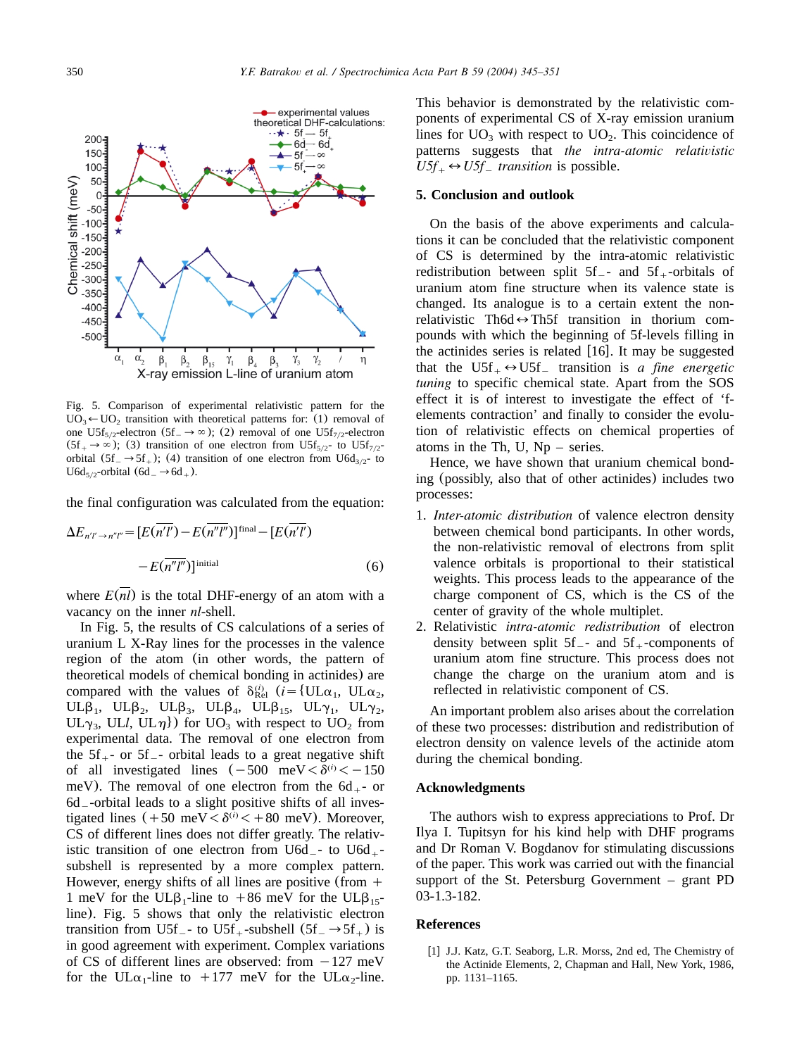<span id="page-5-0"></span>

Fig. 5. Comparison of experimental relativistic pattern for the  $UO_3 \leftarrow UO_2$  transition with theoretical patterns for: (1) removal of one U5f<sub>5/2</sub>-electron (5f<sub>-</sub> $\rightarrow \infty$ ); (2) removal of one U5f<sub>7/2</sub>-electron  $(5f<sub>+</sub> \rightarrow \infty)$ ; (3) transition of one electron from U5f<sub>5/2</sub> to U5f<sub>7/2</sub> orbital  $(5f - 5f +)$ ; (4) transition of one electron from U6d<sub>3/2</sub> to  $U6d_{5/2}$ -orbital  $(6d_{-} \rightarrow 6d_{+})$ .

the final configuration was calculated from the equation:

$$
\Delta E_{n'l'\to n''l''} = [E(\overline{n'l'}) - E(\overline{n''l''})]^{\text{final}} - [E(\overline{n'l'}) - E(\overline{n'l''})]^{\text{initial}}
$$
\n(6)

where  $E(nl)$  is the total DHF-energy of an atom with a vacancy on the inner *nl*-shell.

In Fig. 5, the results of CS calculations of a series of uranium L X-Ray lines for the processes in the valence region of the atom (in other words, the pattern of theoretical models of chemical bonding in actinides) are compared with the values of  $\delta_{\text{Rel}}^{(i)}$  (*i* = {UL $\alpha_1$ , UL $\alpha_2$ , UL $\beta_1$ , UL $\beta_2$ , UL $\beta_3$ , UL $\beta_4$ , UL $\beta_{15}$ , UL $\gamma_1$ , UL $\gamma_2$ , UL<sub> $\gamma_3$ </sub>, UL*l*, UL<sub> $\eta$ </sub>}) for UO<sub>3</sub> with respect to UO<sub>2</sub> from experimental data. The removal of one electron from the  $5f_{+}$ - or  $5f_{-}$ - orbital leads to a great negative shift of all investigated lines  $(-500 \text{ meV} < \delta^{(i)} < -150$ meV). The removal of one electron from the  $6d_{+}$ - or 6d \_-orbital leads to a slight positive shifts of all investigated lines  $(+50 \text{ meV} < \delta^{(i)} < +80 \text{ meV})$ . Moreover, CS of different lines does not differ greatly. The relativistic transition of one electron from U6d<sub>-</sub>- to U6d<sub>+</sub>subshell is represented by a more complex pattern. However, energy shifts of all lines are positive (from  $+$ 1 meV for the UL $\beta_1$ -line to +86 meV for the UL $\beta_{15}$ line). Fig. 5 shows that only the relativistic electron transition from U5f<sub>-</sub> to U5f<sub>+</sub>-subshell  $(5f - \rightarrow 5f +)$  is in good agreement with experiment. Complex variations of CS of different lines are observed: from  $-127$  meV for the UL $\alpha_1$ -line to +177 meV for the UL $\alpha_2$ -line.

This behavior is demonstrated by the relativistic components of experimental CS of X-ray emission uranium lines for  $UO_3$  with respect to  $UO_2$ . This coincidence of patterns suggests that *the intra-atomic relativistic*  $U5f_{+} \leftrightarrow U5f_{-}$  *transition* is possible.

#### **5. Conclusion and outlook**

On the basis of the above experiments and calculations it can be concluded that the relativistic component of CS is determined by the intra-atomic relativistic redistribution between split  $5f_{-}$ - and  $5f_{+}$ -orbitals of uranium atom fine structure when its valence state is changed. Its analogue is to a certain extent the nonrelativistic Th6d  $\leftrightarrow$  Th5f transition in thorium compounds with which the beginning of 5f-levels filling in the actinides series is related  $[16]$  $[16]$  $[16]$ . It may be suggested that the  $U5f_+ \leftrightarrow U5f_-$  transition is *a fine energetic tuning* to specific chemical state. Apart from the SOS effect it is of interest to investigate the effect of 'felements contraction' and finally to consider the evolution of relativistic effects on chemical properties of atoms in the Th,  $U$ ,  $Np$  – series.

Hence, we have shown that uranium chemical bonding (possibly, also that of other actinides) includes two processes:

- 1. *Inter-atomic distribution* of valence electron density between chemical bond participants. In other words, the non-relativistic removal of electrons from split valence orbitals is proportional to their statistical weights. This process leads to the appearance of the charge component of CS, which is the CS of the center of gravity of the whole multiplet.
- 2. Relativistic *intra-atomic redistribution* of electron density between split  $5f_{-}$ - and  $5f_{+}$ -components of uranium atom fine structure. This process does not change the charge on the uranium atom and is reflected in relativistic component of CS.

An important problem also arises about the correlation of these two processes: distribution and redistribution of electron density on valence levels of the actinide atom during the chemical bonding.

#### **Acknowledgments**

The authors wish to express appreciations to Prof. Dr Ilya I. Tupitsyn for his kind help with DHF programs and Dr Roman V. Bogdanov for stimulating discussions of the paper. This work was carried out with the financial support of the St. Petersburg Government – grant PD 03-1.3-182.

### **References**

[1] J.J. Katz, G.T. Seaborg, L.R. Morss, 2nd ed, The Chemistry of the Actinide Elements, 2, Chapman and Hall, New York, 1986, pp. 1131–1165.